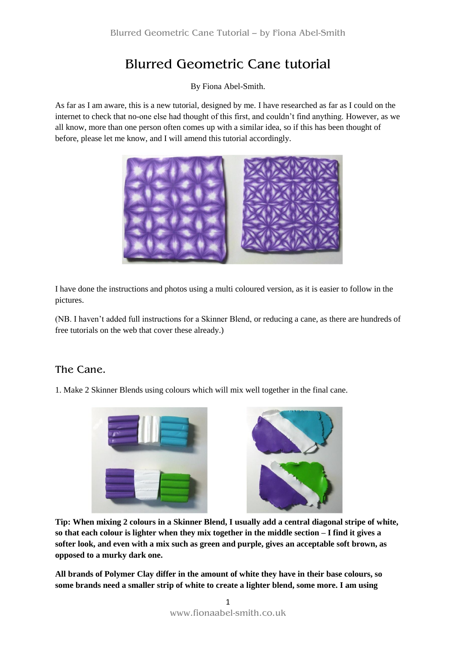## Blurred Geometric Cane tutorial

By Fiona Abel-Smith.

As far as I am aware, this is a new tutorial, designed by me. I have researched as far as I could on the internet to check that no-one else had thought of this first, and couldn't find anything. However, as we all know, more than one person often comes up with a similar idea, so if this has been thought of before, please let me know, and I will amend this tutorial accordingly.



I have done the instructions and photos using a multi coloured version, as it is easier to follow in the pictures.

(NB. I haven't added full instructions for a Skinner Blend, or reducing a cane, as there are hundreds of free tutorials on the web that cover these already.)

## The Cane.

1. Make 2 Skinner Blends using colours which will mix well together in the final cane.



**Tip: When mixing 2 colours in a Skinner Blend, I usually add a central diagonal stripe of white, so that each colour is lighter when they mix together in the middle section – I find it gives a softer look, and even with a mix such as green and purple, gives an acceptable soft brown, as opposed to a murky dark one.**

**All brands of Polymer Clay differ in the amount of white they have in their base colours, so some brands need a smaller strip of white to create a lighter blend, some more. I am using**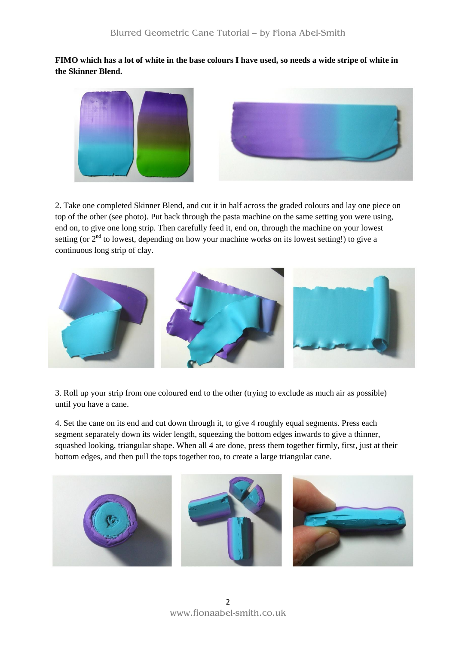**FIMO which has a lot of white in the base colours I have used, so needs a wide stripe of white in the Skinner Blend.**



2. Take one completed Skinner Blend, and cut it in half across the graded colours and lay one piece on top of the other (see photo). Put back through the pasta machine on the same setting you were using, end on, to give one long strip. Then carefully feed it, end on, through the machine on your lowest setting (or  $2<sup>nd</sup>$  to lowest, depending on how your machine works on its lowest setting!) to give a continuous long strip of clay.



3. Roll up your strip from one coloured end to the other (trying to exclude as much air as possible) until you have a cane.

4. Set the cane on its end and cut down through it, to give 4 roughly equal segments. Press each segment separately down its wider length, squeezing the bottom edges inwards to give a thinner, squashed looking, triangular shape. When all 4 are done, press them together firmly, first, just at their bottom edges, and then pull the tops together too, to create a large triangular cane.

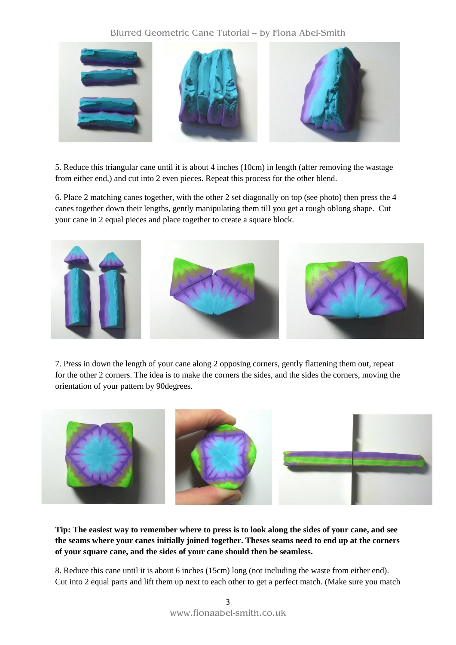## Blurred Geometric Cane Tutorial – by Fiona Abel-Smith



5. Reduce this triangular cane until it is about 4 inches (10cm) in length (after removing the wastage from either end,) and cut into 2 even pieces. Repeat this process for the other blend.

6. Place 2 matching canes together, with the other 2 set diagonally on top (see photo) then press the 4 canes together down their lengths, gently manipulating them till you get a rough oblong shape. Cut your cane in 2 equal pieces and place together to create a square block.



7. Press in down the length of your cane along 2 opposing corners, gently flattening them out, repeat for the other 2 corners. The idea is to make the corners the sides, and the sides the corners, moving the orientation of your pattern by 90degrees.



**Tip: The easiest way to remember where to press is to look along the sides of your cane, and see the seams where your canes initially joined together. Theses seams need to end up at the corners of your square cane, and the sides of your cane should then be seamless.**

8. Reduce this cane until it is about 6 inches (15cm) long (not including the waste from either end). Cut into 2 equal parts and lift them up next to each other to get a perfect match. (Make sure you match